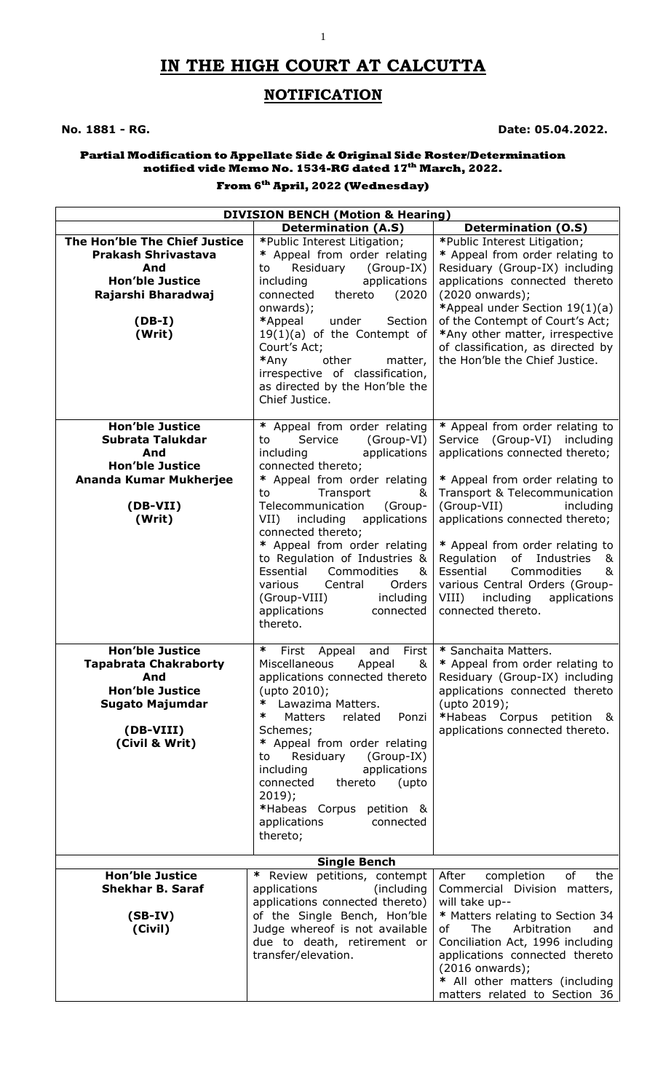# **IN THE HIGH COURT AT CALCUTTA**

## **NOTIFICATION**

### **No. 1881 - RG. Date: 05.04.2022.**

#### **Partial Modification to Appellate Side & Original Side Roster/Determination notified vide Memo No. 1534-RG dated 17th March, 2022.**

#### **From 6 th April, 2022 (Wednesday)**

| <b>DIVISION BENCH (Motion &amp; Hearing)</b>                                                                                                     |                                                                                                                                                                                                                                                                                                                                                                                                                   |                                                                                                                                                                                                                                                                                                                                       |  |  |
|--------------------------------------------------------------------------------------------------------------------------------------------------|-------------------------------------------------------------------------------------------------------------------------------------------------------------------------------------------------------------------------------------------------------------------------------------------------------------------------------------------------------------------------------------------------------------------|---------------------------------------------------------------------------------------------------------------------------------------------------------------------------------------------------------------------------------------------------------------------------------------------------------------------------------------|--|--|
|                                                                                                                                                  | <b>Determination (A.S)</b>                                                                                                                                                                                                                                                                                                                                                                                        | <b>Determination (O.S)</b>                                                                                                                                                                                                                                                                                                            |  |  |
| The Hon'ble The Chief Justice<br><b>Prakash Shrivastava</b><br>And<br><b>Hon'ble Justice</b><br>Rajarshi Bharadwaj                               | *Public Interest Litigation;<br>* Appeal from order relating<br>Residuary<br>(Group-IX)<br>to<br>applications<br>including<br>(2020<br>connected<br>thereto<br>onwards);                                                                                                                                                                                                                                          | *Public Interest Litigation;<br>* Appeal from order relating to<br>Residuary (Group-IX) including<br>applications connected thereto<br>(2020 onwards);<br>*Appeal under Section 19(1)(a)                                                                                                                                              |  |  |
| $(DB-I)$<br>(Writ)                                                                                                                               | *Appeal<br>under<br>Section<br>$19(1)(a)$ of the Contempt of<br>Court's Act;<br>*Any<br>other<br>matter,<br>irrespective of classification,<br>as directed by the Hon'ble the<br>Chief Justice.                                                                                                                                                                                                                   | of the Contempt of Court's Act;<br>*Any other matter, irrespective<br>of classification, as directed by<br>the Hon'ble the Chief Justice.                                                                                                                                                                                             |  |  |
| <b>Hon'ble Justice</b><br>Subrata Talukdar<br>And<br><b>Hon'ble Justice</b>                                                                      | * Appeal from order relating<br>Service<br>(Group-VI)<br>to<br>applications<br>including<br>connected thereto;                                                                                                                                                                                                                                                                                                    | * Appeal from order relating to<br>Service (Group-VI) including<br>applications connected thereto;                                                                                                                                                                                                                                    |  |  |
| Ananda Kumar Mukherjee<br>(DB-VII)<br>(Writ)                                                                                                     | * Appeal from order relating<br>Transport<br>to<br>&<br>Telecommunication<br>(Group-<br>including<br>applications<br>VII)<br>connected thereto;<br>* Appeal from order relating<br>to Regulation of Industries &<br>Essential<br>Commodities<br>&<br>various<br>Central<br>Orders<br>including<br>(Group-VIII)<br>applications<br>connected<br>thereto.                                                           | * Appeal from order relating to<br>Transport & Telecommunication<br>(Group-VII)<br>including<br>applications connected thereto;<br>* Appeal from order relating to<br>Regulation<br>of<br>Industries<br>&<br>Essential<br>Commodities<br>&<br>various Central Orders (Group-<br>VIII) including<br>applications<br>connected thereto. |  |  |
| <b>Hon'ble Justice</b><br><b>Tapabrata Chakraborty</b><br>And<br><b>Hon'ble Justice</b><br><b>Sugato Majumdar</b><br>(DB-VIII)<br>(Civil & Writ) | ∗<br>First<br>and<br>First<br>Appeal<br>Miscellaneous<br>Appeal<br>&<br>applications connected thereto<br>(upto 2010);<br>∗<br>Lawazima Matters.<br>∗<br>Matters<br>related<br>Ponzi<br>Schemes;<br>* Appeal from order relating<br>Residuary<br>(Group-IX)<br>to<br>including<br>applications<br>connected<br>thereto<br>(upto<br>$2019$ ;<br>*Habeas Corpus petition &<br>applications<br>connected<br>thereto; | * Sanchaita Matters.<br>* Appeal from order relating to<br>Residuary (Group-IX) including<br>applications connected thereto<br>(upto 2019);<br>*Habeas Corpus petition &<br>applications connected thereto.                                                                                                                           |  |  |
|                                                                                                                                                  | <b>Single Bench</b>                                                                                                                                                                                                                                                                                                                                                                                               |                                                                                                                                                                                                                                                                                                                                       |  |  |
| <b>Hon'ble Justice</b><br><b>Shekhar B. Saraf</b><br>$(SB-IV)$<br>(Civil)                                                                        | * Review petitions, contempt<br>applications<br>(including)<br>applications connected thereto)<br>of the Single Bench, Hon'ble<br>Judge whereof is not available<br>due to death, retirement or<br>transfer/elevation.                                                                                                                                                                                            | completion<br>the<br>After<br>of<br>Commercial Division matters,<br>will take up--<br>* Matters relating to Section 34<br>The<br>Arbitration<br>and<br>of<br>Conciliation Act, 1996 including<br>applications connected thereto<br>$(2016$ onwards);                                                                                  |  |  |
|                                                                                                                                                  |                                                                                                                                                                                                                                                                                                                                                                                                                   | * All other matters (including<br>matters related to Section 36                                                                                                                                                                                                                                                                       |  |  |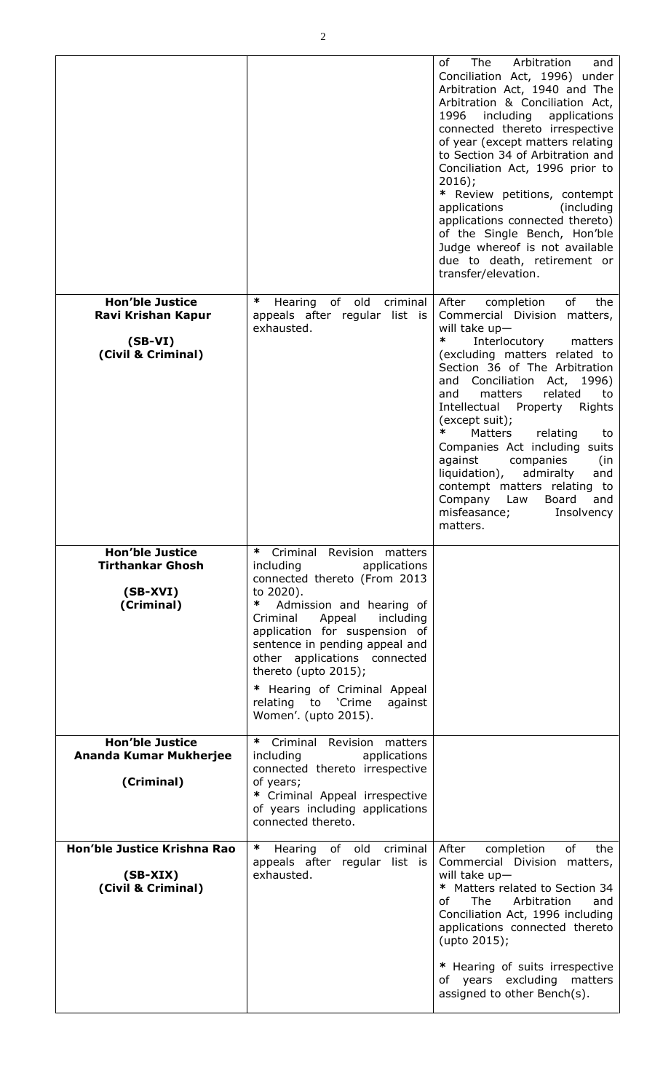|                                                                                 |                                                                                                                                                                                                                                                                                                                                                                                                  | Arbitration<br>The<br>of<br>and<br>Conciliation Act, 1996) under<br>Arbitration Act, 1940 and The<br>Arbitration & Conciliation Act,<br>including<br>1996<br>applications<br>connected thereto irrespective<br>of year (except matters relating<br>to Section 34 of Arbitration and<br>Conciliation Act, 1996 prior to<br>$2016$ ;<br>* Review petitions, contempt<br>applications<br>(including)<br>applications connected thereto)<br>of the Single Bench, Hon'ble<br>Judge whereof is not available<br>due to death, retirement or<br>transfer/elevation.           |
|---------------------------------------------------------------------------------|--------------------------------------------------------------------------------------------------------------------------------------------------------------------------------------------------------------------------------------------------------------------------------------------------------------------------------------------------------------------------------------------------|------------------------------------------------------------------------------------------------------------------------------------------------------------------------------------------------------------------------------------------------------------------------------------------------------------------------------------------------------------------------------------------------------------------------------------------------------------------------------------------------------------------------------------------------------------------------|
| <b>Hon'ble Justice</b><br>Ravi Krishan Kapur<br>$(SB-VI)$<br>(Civil & Criminal) | ∗<br>Hearing of old<br>criminal<br>appeals after regular list is<br>exhausted.                                                                                                                                                                                                                                                                                                                   | of<br>the<br>After<br>completion<br>Commercial Division<br>matters,<br>will take $up-$<br>∗<br>Interlocutory<br>matters<br>(excluding matters related to<br>Section 36 of The Arbitration<br>and Conciliation Act, 1996)<br>related<br>matters<br>and<br>to<br>Intellectual<br>Property<br>Rights<br>(except suit);<br>∗<br>Matters<br>relating<br>to<br>Companies Act including suits<br>against<br>companies<br>(in<br>liquidation),<br>admiralty<br>and<br>contempt matters relating to<br>Company<br>Law<br>Board<br>and<br>misfeasance;<br>Insolvency<br>matters. |
| <b>Hon'ble Justice</b><br><b>Tirthankar Ghosh</b><br>$(SB-XVI)$<br>(Criminal)   | Criminal Revision matters<br>∗<br>applications<br>including<br>connected thereto (From 2013<br>to 2020).<br>Admission and hearing of<br>∗<br>Criminal<br>Appeal<br>including<br>application for suspension of<br>sentence in pending appeal and<br>other applications connected<br>thereto (upto 2015);<br>* Hearing of Criminal Appeal<br>relating to 'Crime<br>against<br>Women'. (upto 2015). |                                                                                                                                                                                                                                                                                                                                                                                                                                                                                                                                                                        |
| <b>Hon'ble Justice</b><br>Ananda Kumar Mukherjee<br>(Criminal)                  | ∗<br>Criminal Revision matters<br>including<br>applications<br>connected thereto irrespective<br>of years;<br>* Criminal Appeal irrespective<br>of years including applications<br>connected thereto.                                                                                                                                                                                            |                                                                                                                                                                                                                                                                                                                                                                                                                                                                                                                                                                        |
| Hon'ble Justice Krishna Rao<br>$(SB-XIX)$<br>(Civil & Criminal)                 | $\ast$<br>Hearing of old criminal<br>appeals after regular list is<br>exhausted.                                                                                                                                                                                                                                                                                                                 | of<br>After<br>the<br>completion<br>Commercial Division matters,<br>will take $up-$<br>* Matters related to Section 34<br>of<br>The Arbitration<br>and<br>Conciliation Act, 1996 including<br>applications connected thereto<br>(upto 2015);<br>* Hearing of suits irrespective<br>of years excluding matters<br>assigned to other Bench(s).                                                                                                                                                                                                                           |